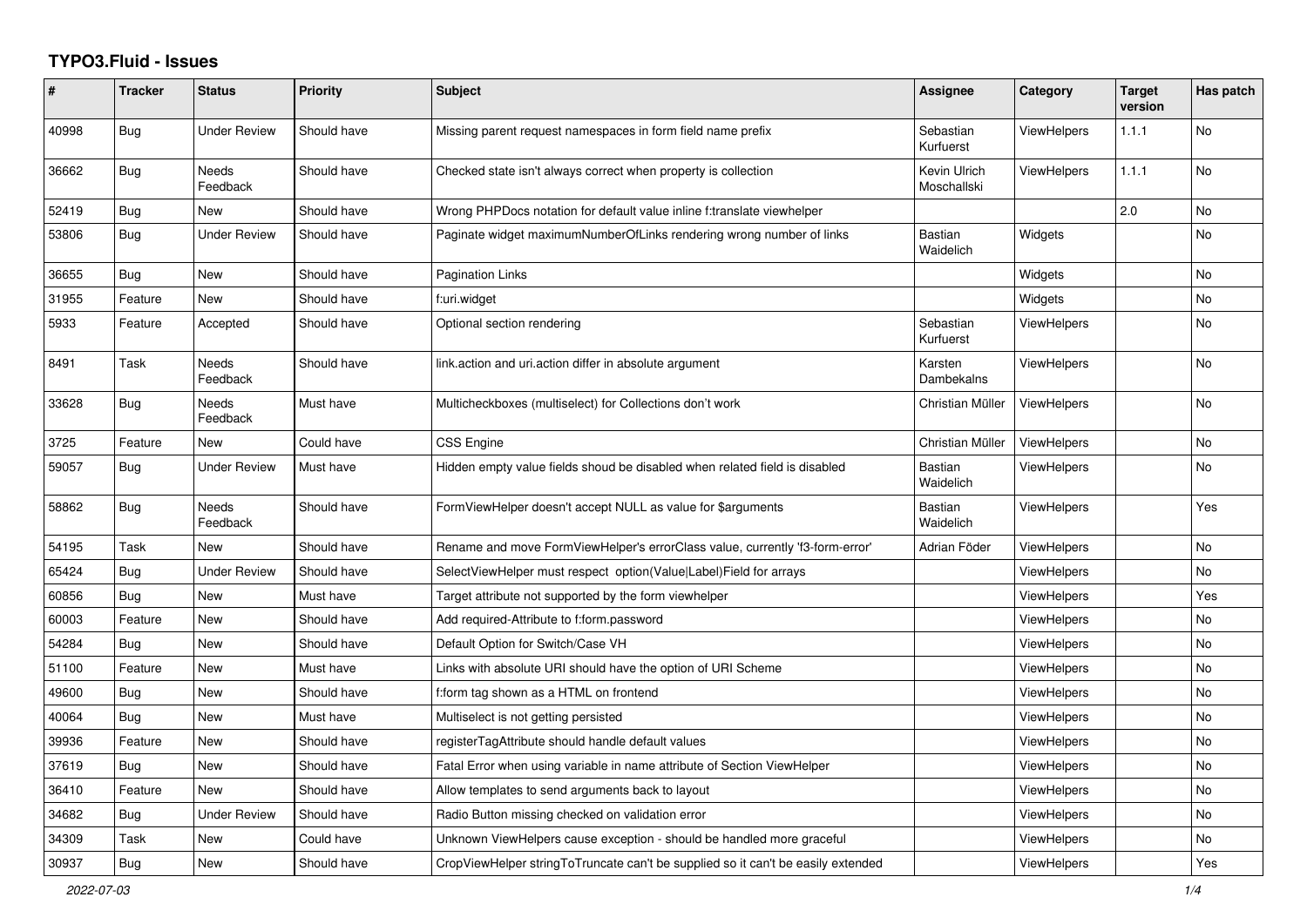## **TYPO3.Fluid - Issues**

| #     | <b>Tracker</b> | <b>Status</b>       | <b>Priority</b> | <b>Subject</b>                                                                   | Assignee                           | Category           | <b>Target</b><br>version | Has patch |
|-------|----------------|---------------------|-----------------|----------------------------------------------------------------------------------|------------------------------------|--------------------|--------------------------|-----------|
| 40998 | <b>Bug</b>     | Under Review        | Should have     | Missing parent request namespaces in form field name prefix                      | Sebastian<br>Kurfuerst             | <b>ViewHelpers</b> | 1.1.1                    | <b>No</b> |
| 36662 | <b>Bug</b>     | Needs<br>Feedback   | Should have     | Checked state isn't always correct when property is collection                   | <b>Kevin Ulrich</b><br>Moschallski | <b>ViewHelpers</b> | 1.1.1                    | <b>No</b> |
| 52419 | <b>Bug</b>     | New                 | Should have     | Wrong PHPDocs notation for default value inline f:translate viewhelper           |                                    |                    | 2.0                      | No        |
| 53806 | Bug            | <b>Under Review</b> | Should have     | Paginate widget maximumNumberOfLinks rendering wrong number of links             | <b>Bastian</b><br>Waidelich        | Widgets            |                          | No        |
| 36655 | Bug            | New                 | Should have     | <b>Pagination Links</b>                                                          |                                    | Widgets            |                          | No        |
| 31955 | Feature        | <b>New</b>          | Should have     | f:uri.widget                                                                     |                                    | Widgets            |                          | <b>No</b> |
| 5933  | Feature        | Accepted            | Should have     | Optional section rendering                                                       | Sebastian<br>Kurfuerst             | <b>ViewHelpers</b> |                          | <b>No</b> |
| 8491  | Task           | Needs<br>Feedback   | Should have     | link.action and uri.action differ in absolute argument                           | Karsten<br>Dambekalns              | <b>ViewHelpers</b> |                          | No        |
| 33628 | Bug            | Needs<br>Feedback   | Must have       | Multicheckboxes (multiselect) for Collections don't work                         | Christian Müller                   | <b>ViewHelpers</b> |                          | <b>No</b> |
| 3725  | Feature        | New                 | Could have      | CSS Engine                                                                       | Christian Müller                   | <b>ViewHelpers</b> |                          | <b>No</b> |
| 59057 | Bug            | Under Review        | Must have       | Hidden empty value fields shoud be disabled when related field is disabled       | <b>Bastian</b><br>Waidelich        | <b>ViewHelpers</b> |                          | <b>No</b> |
| 58862 | Bug            | Needs<br>Feedback   | Should have     | FormViewHelper doesn't accept NULL as value for \$arguments                      | Bastian<br>Waidelich               | ViewHelpers        |                          | Yes       |
| 54195 | Task           | New                 | Should have     | Rename and move FormViewHelper's errorClass value, currently 'f3-form-error'     | Adrian Föder                       | <b>ViewHelpers</b> |                          | <b>No</b> |
| 65424 | <b>Bug</b>     | Under Review        | Should have     | SelectViewHelper must respect option(Value Label)Field for arrays                |                                    | <b>ViewHelpers</b> |                          | No        |
| 60856 | Bug            | <b>New</b>          | Must have       | Target attribute not supported by the form viewhelper                            |                                    | <b>ViewHelpers</b> |                          | Yes       |
| 60003 | Feature        | <b>New</b>          | Should have     | Add required-Attribute to f:form.password                                        |                                    | <b>ViewHelpers</b> |                          | No        |
| 54284 | Bug            | New                 | Should have     | Default Option for Switch/Case VH                                                |                                    | ViewHelpers        |                          | <b>No</b> |
| 51100 | Feature        | New                 | Must have       | Links with absolute URI should have the option of URI Scheme                     |                                    | ViewHelpers        |                          | <b>No</b> |
| 49600 | <b>Bug</b>     | New                 | Should have     | f:form tag shown as a HTML on frontend                                           |                                    | <b>ViewHelpers</b> |                          | No        |
| 40064 | Bug            | New                 | Must have       | Multiselect is not getting persisted                                             |                                    | ViewHelpers        |                          | No        |
| 39936 | Feature        | New                 | Should have     | registerTagAttribute should handle default values                                |                                    | ViewHelpers        |                          | No        |
| 37619 | <b>Bug</b>     | New                 | Should have     | Fatal Error when using variable in name attribute of Section ViewHelper          |                                    | <b>ViewHelpers</b> |                          | No        |
| 36410 | Feature        | <b>New</b>          | Should have     | Allow templates to send arguments back to layout                                 |                                    | ViewHelpers        |                          | No        |
| 34682 | <b>Bug</b>     | Under Review        | Should have     | Radio Button missing checked on validation error                                 |                                    | <b>ViewHelpers</b> |                          | No        |
| 34309 | Task           | New                 | Could have      | Unknown ViewHelpers cause exception - should be handled more graceful            |                                    | <b>ViewHelpers</b> |                          | No        |
| 30937 | Bug            | New                 | Should have     | CropViewHelper stringToTruncate can't be supplied so it can't be easily extended |                                    | <b>ViewHelpers</b> |                          | Yes       |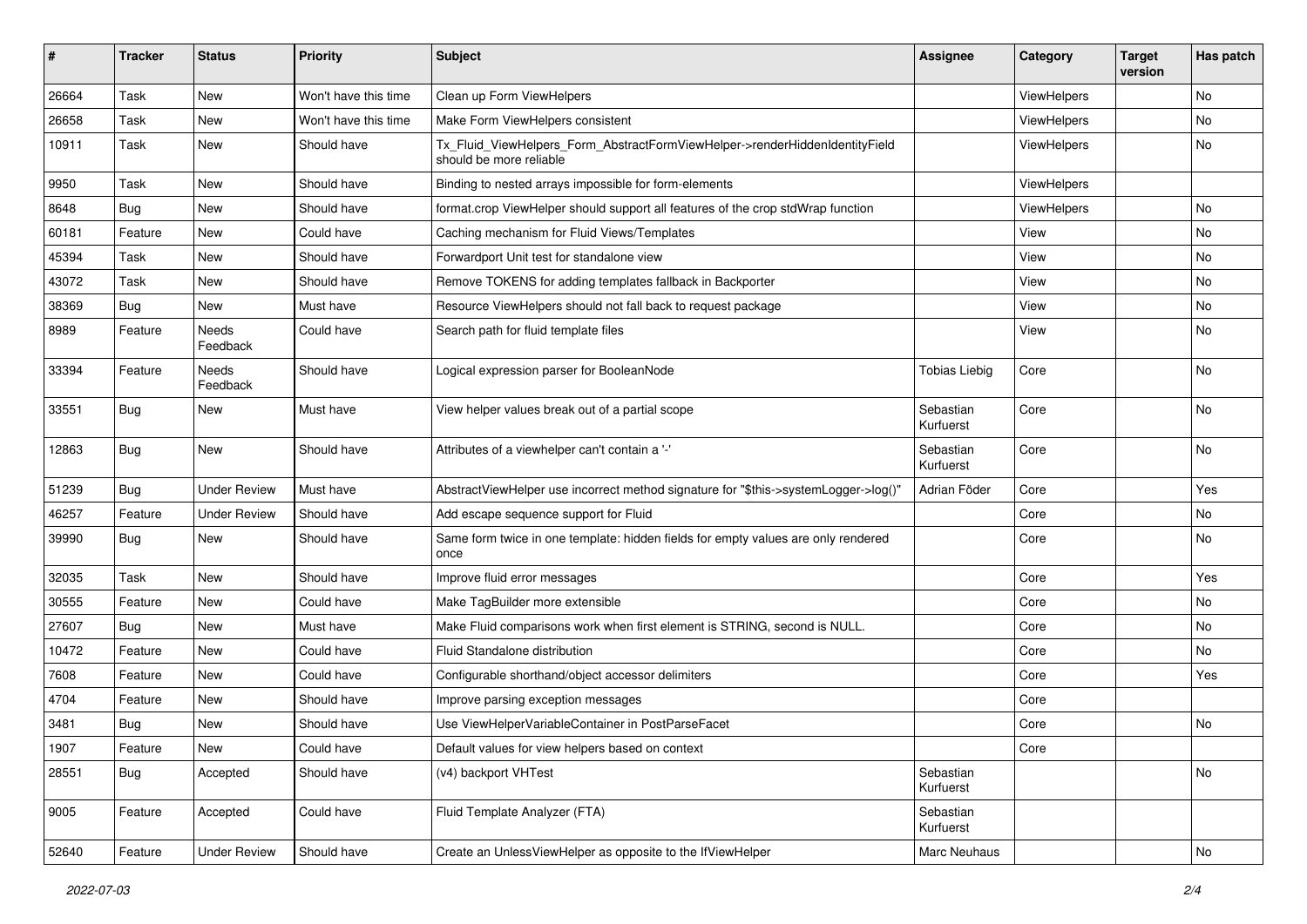| #     | <b>Tracker</b> | <b>Status</b>       | <b>Priority</b>      | Subject                                                                                                | <b>Assignee</b>        | Category    | <b>Target</b><br>version | Has patch |
|-------|----------------|---------------------|----------------------|--------------------------------------------------------------------------------------------------------|------------------------|-------------|--------------------------|-----------|
| 26664 | Task           | New                 | Won't have this time | Clean up Form ViewHelpers                                                                              |                        | ViewHelpers |                          | <b>No</b> |
| 26658 | Task           | New                 | Won't have this time | Make Form ViewHelpers consistent                                                                       |                        | ViewHelpers |                          | No        |
| 10911 | Task           | New                 | Should have          | Tx_Fluid_ViewHelpers_Form_AbstractFormViewHelper->renderHiddenIdentityField<br>should be more reliable |                        | ViewHelpers |                          | No        |
| 9950  | Task           | New                 | Should have          | Binding to nested arrays impossible for form-elements                                                  |                        | ViewHelpers |                          |           |
| 8648  | Bug            | New                 | Should have          | format.crop ViewHelper should support all features of the crop stdWrap function                        |                        | ViewHelpers |                          | No        |
| 60181 | Feature        | New                 | Could have           | Caching mechanism for Fluid Views/Templates                                                            |                        | View        |                          | No        |
| 45394 | Task           | New                 | Should have          | Forwardport Unit test for standalone view                                                              |                        | View        |                          | No        |
| 43072 | Task           | New                 | Should have          | Remove TOKENS for adding templates fallback in Backporter                                              |                        | View        |                          | No        |
| 38369 | Bug            | New                 | Must have            | Resource ViewHelpers should not fall back to request package                                           |                        | View        |                          | No        |
| 8989  | Feature        | Needs<br>Feedback   | Could have           | Search path for fluid template files                                                                   |                        | View        |                          | No        |
| 33394 | Feature        | Needs<br>Feedback   | Should have          | Logical expression parser for BooleanNode                                                              | <b>Tobias Liebig</b>   | Core        |                          | No        |
| 33551 | Bug            | New                 | Must have            | View helper values break out of a partial scope                                                        | Sebastian<br>Kurfuerst | Core        |                          | No        |
| 12863 | Bug            | New                 | Should have          | Attributes of a viewhelper can't contain a '-'                                                         | Sebastian<br>Kurfuerst | Core        |                          | No        |
| 51239 | Bug            | <b>Under Review</b> | Must have            | AbstractViewHelper use incorrect method signature for "\$this->systemLogger->log()"                    | Adrian Föder           | Core        |                          | Yes       |
| 46257 | Feature        | <b>Under Review</b> | Should have          | Add escape sequence support for Fluid                                                                  |                        | Core        |                          | No        |
| 39990 | Bug            | New                 | Should have          | Same form twice in one template: hidden fields for empty values are only rendered<br>once              |                        | Core        |                          | No        |
| 32035 | Task           | New                 | Should have          | Improve fluid error messages                                                                           |                        | Core        |                          | Yes       |
| 30555 | Feature        | New                 | Could have           | Make TagBuilder more extensible                                                                        |                        | Core        |                          | No        |
| 27607 | Bug            | New                 | Must have            | Make Fluid comparisons work when first element is STRING, second is NULL.                              |                        | Core        |                          | No        |
| 10472 | Feature        | New                 | Could have           | Fluid Standalone distribution                                                                          |                        | Core        |                          | No        |
| 7608  | Feature        | New                 | Could have           | Configurable shorthand/object accessor delimiters                                                      |                        | Core        |                          | Yes       |
| 4704  | Feature        | New                 | Should have          | Improve parsing exception messages                                                                     |                        | Core        |                          |           |
| 3481  | Bug            | New                 | Should have          | Use ViewHelperVariableContainer in PostParseFacet                                                      |                        | Core        |                          | No        |
| 1907  | Feature        | New                 | Could have           | Default values for view helpers based on context                                                       |                        | Core        |                          |           |
| 28551 | Bug            | Accepted            | Should have          | (v4) backport VHTest                                                                                   | Sebastian<br>Kurfuerst |             |                          | No        |
| 9005  | Feature        | Accepted            | Could have           | Fluid Template Analyzer (FTA)                                                                          | Sebastian<br>Kurfuerst |             |                          |           |
| 52640 | Feature        | <b>Under Review</b> | Should have          | Create an UnlessViewHelper as opposite to the IfViewHelper                                             | Marc Neuhaus           |             |                          | No        |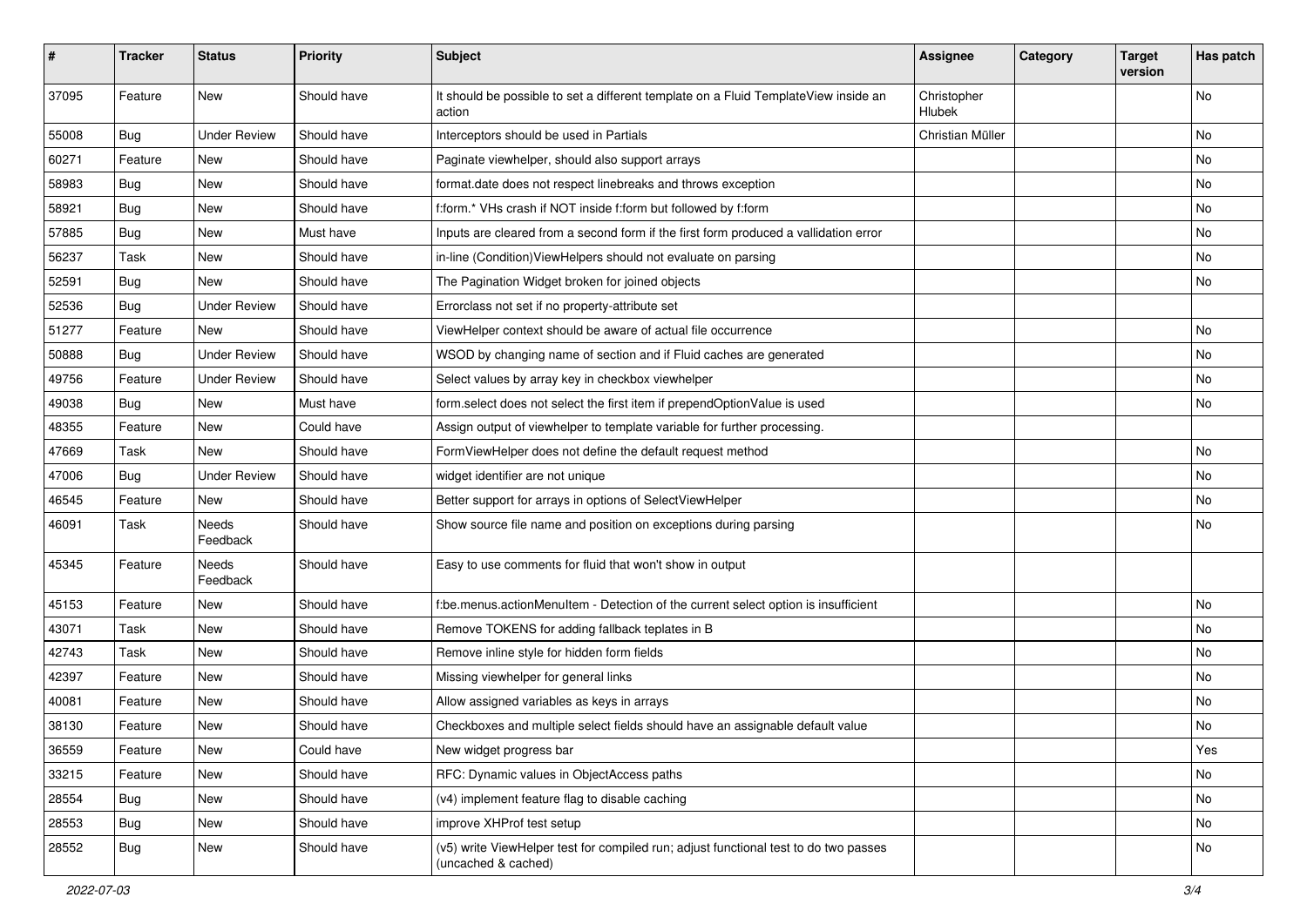| #     | <b>Tracker</b> | <b>Status</b>       | <b>Priority</b> | Subject                                                                                                     | <b>Assignee</b>       | Category | <b>Target</b><br>version | Has patch |
|-------|----------------|---------------------|-----------------|-------------------------------------------------------------------------------------------------------------|-----------------------|----------|--------------------------|-----------|
| 37095 | Feature        | New                 | Should have     | It should be possible to set a different template on a Fluid TemplateView inside an<br>action               | Christopher<br>Hlubek |          |                          | <b>No</b> |
| 55008 | Bug            | <b>Under Review</b> | Should have     | Interceptors should be used in Partials                                                                     | Christian Müller      |          |                          | No        |
| 60271 | Feature        | <b>New</b>          | Should have     | Paginate viewhelper, should also support arrays                                                             |                       |          |                          | <b>No</b> |
| 58983 | Bug            | New                 | Should have     | format.date does not respect linebreaks and throws exception                                                |                       |          |                          | No        |
| 58921 | Bug            | <b>New</b>          | Should have     | f:form.* VHs crash if NOT inside f:form but followed by f:form                                              |                       |          |                          | <b>No</b> |
| 57885 | Bug            | New                 | Must have       | Inputs are cleared from a second form if the first form produced a vallidation error                        |                       |          |                          | No        |
| 56237 | Task           | New                 | Should have     | in-line (Condition) View Helpers should not evaluate on parsing                                             |                       |          |                          | No        |
| 52591 | Bug            | New                 | Should have     | The Pagination Widget broken for joined objects                                                             |                       |          |                          | No        |
| 52536 | Bug            | <b>Under Review</b> | Should have     | Errorclass not set if no property-attribute set                                                             |                       |          |                          |           |
| 51277 | Feature        | <b>New</b>          | Should have     | ViewHelper context should be aware of actual file occurrence                                                |                       |          |                          | <b>No</b> |
| 50888 | Bug            | <b>Under Review</b> | Should have     | WSOD by changing name of section and if Fluid caches are generated                                          |                       |          |                          | No        |
| 49756 | Feature        | <b>Under Review</b> | Should have     | Select values by array key in checkbox viewhelper                                                           |                       |          |                          | No        |
| 49038 | Bug            | New                 | Must have       | form.select does not select the first item if prependOptionValue is used                                    |                       |          |                          | No        |
| 48355 | Feature        | New                 | Could have      | Assign output of viewhelper to template variable for further processing.                                    |                       |          |                          |           |
| 47669 | Task           | New                 | Should have     | FormViewHelper does not define the default request method                                                   |                       |          |                          | No        |
| 47006 | Bug            | <b>Under Review</b> | Should have     | widget identifier are not unique                                                                            |                       |          |                          | No        |
| 46545 | Feature        | New                 | Should have     | Better support for arrays in options of SelectViewHelper                                                    |                       |          |                          | No        |
| 46091 | Task           | Needs<br>Feedback   | Should have     | Show source file name and position on exceptions during parsing                                             |                       |          |                          | No        |
| 45345 | Feature        | Needs<br>Feedback   | Should have     | Easy to use comments for fluid that won't show in output                                                    |                       |          |                          |           |
| 45153 | Feature        | New                 | Should have     | f:be.menus.actionMenuItem - Detection of the current select option is insufficient                          |                       |          |                          | No        |
| 43071 | Task           | New                 | Should have     | Remove TOKENS for adding fallback teplates in B                                                             |                       |          |                          | No        |
| 42743 | Task           | <b>New</b>          | Should have     | Remove inline style for hidden form fields                                                                  |                       |          |                          | No        |
| 42397 | Feature        | New                 | Should have     | Missing viewhelper for general links                                                                        |                       |          |                          | No        |
| 40081 | Feature        | New                 | Should have     | Allow assigned variables as keys in arrays                                                                  |                       |          |                          | <b>No</b> |
| 38130 | Feature        | New                 | Should have     | Checkboxes and multiple select fields should have an assignable default value                               |                       |          |                          | No        |
| 36559 | Feature        | New                 | Could have      | New widget progress bar                                                                                     |                       |          |                          | Yes       |
| 33215 | Feature        | New                 | Should have     | RFC: Dynamic values in ObjectAccess paths                                                                   |                       |          |                          | No        |
| 28554 | <b>Bug</b>     | New                 | Should have     | (v4) implement feature flag to disable caching                                                              |                       |          |                          | No        |
| 28553 | Bug            | New                 | Should have     | improve XHProf test setup                                                                                   |                       |          |                          | No        |
| 28552 | Bug            | New                 | Should have     | (v5) write ViewHelper test for compiled run; adjust functional test to do two passes<br>(uncached & cached) |                       |          |                          | No        |